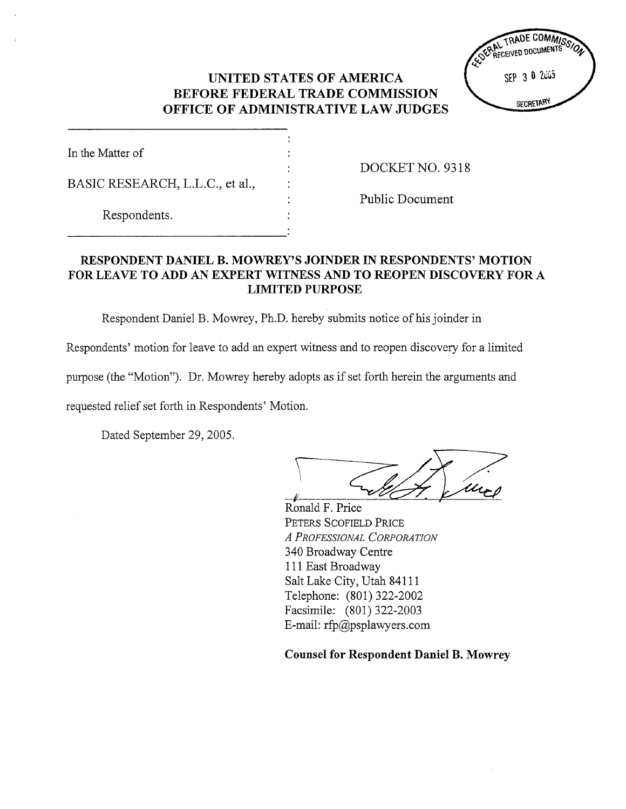## UNITED STATES OF AMERICA BEFORE FEDERAL TRADE COMMISSION OFFICE OF ADMINISTRATIVE LAW JUDGES

| In the Matter of                |  |
|---------------------------------|--|
| BASIC RESEARCH, L.L.C., et al., |  |
| Respondents.                    |  |

DOCKET NO. 9318

Public Document

## RESPONDENT DANIEL B. MOWREY'S JOINDER IN RESPONDENTS' MOTION FOR LEAVE TO ADD AN EXPERT WITNESS AND TO REOPEN DISCOVERY FOR A LIMITED PURPOSE

Respondent Daniel B. Mowrey, Ph.D. hereby submits notice of his joinder in

Respondents' motion for leave to add an expert witness and to reopen discovery for a limited

purpose (the "Motion"). Dr. Mowrey hereby adopts as if set forth herein the arguments and

requested relief set forth in Respondents' Motion.

Dated September 29, 2005.

Ronald F. Price PETERS SCOFIELD PRICE A PROFESSIONAL CORPORATION 340 Broadway Centre III East Broadway Salt Lake City, Utah 84111 Telephone: (801) 322-2002 Facsimile: (801) 322-2003 E-mail:  $rfp$  apsplawyers.com

Counsel for Respondent Daniel B. Mowrey